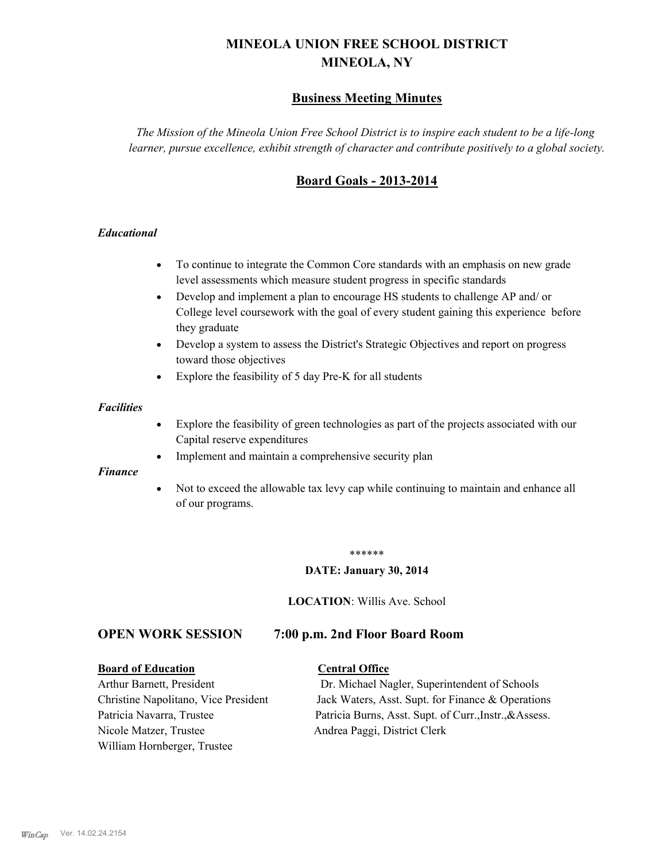# **MINEOLA UNION FREE SCHOOL DISTRICT MINEOLA, NY**

# **Business Meeting Minutes**

*The Mission of the Mineola Union Free School District is to inspire each student to be a life-long learner, pursue excellence, exhibit strength of character and contribute positively to a global society.*

# **Board Goals - 2013-2014**

#### *Educational*

- · To continue to integrate the Common Core standards with an emphasis on new grade level assessments which measure student progress in specific standards
- · Develop and implement a plan to encourage HS students to challenge AP and/ or College level coursework with the goal of every student gaining this experience before they graduate
- Develop a system to assess the District's Strategic Objectives and report on progress toward those objectives
- · Explore the feasibility of 5 day Pre-K for all students

#### *Facilities*

- · Explore the feasibility of green technologies as part of the projects associated with our Capital reserve expenditures
- Implement and maintain a comprehensive security plan

#### *Finance*

• Not to exceed the allowable tax levy cap while continuing to maintain and enhance all of our programs.

#### \*\*\*\*\*\*

#### **DATE: January 30, 2014**

**LOCATION**: Willis Ave. School

# **OPEN WORK SESSION 7:00 p.m. 2nd Floor Board Room**

#### **Board of Education Central Office**

Nicole Matzer, Trustee Andrea Paggi, District Clerk William Hornberger, Trustee

Arthur Barnett, President Dr. Michael Nagler, Superintendent of Schools Christine Napolitano, Vice President Jack Waters, Asst. Supt. for Finance & Operations Patricia Navarra, Trustee Patricia Burns, Asst. Supt. of Curr., Instr., &Assess.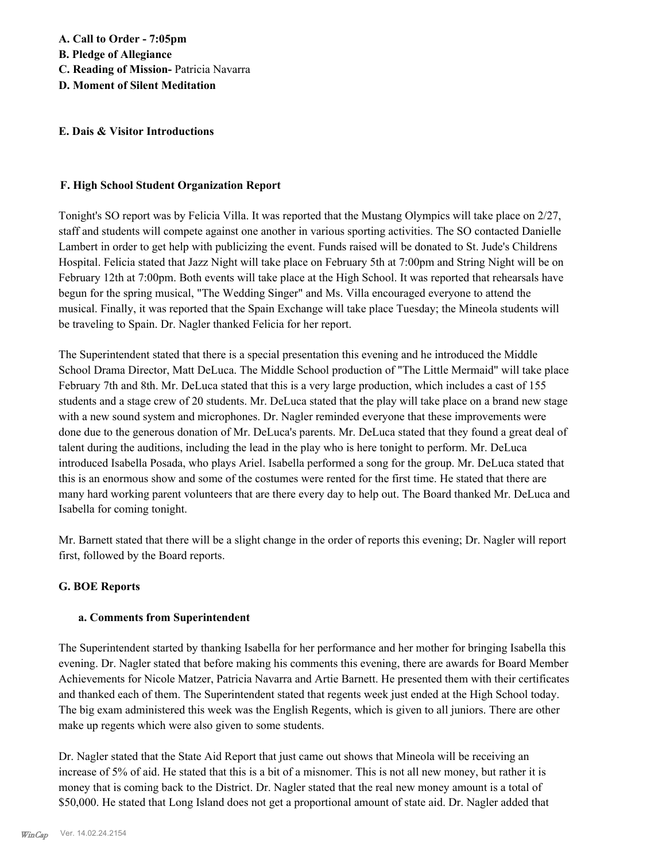#### **E. Dais & Visitor Introductions**

#### **F. High School Student Organization Report**

Tonight's SO report was by Felicia Villa. It was reported that the Mustang Olympics will take place on 2/27, staff and students will compete against one another in various sporting activities. The SO contacted Danielle Lambert in order to get help with publicizing the event. Funds raised will be donated to St. Jude's Childrens Hospital. Felicia stated that Jazz Night will take place on February 5th at 7:00pm and String Night will be on February 12th at 7:00pm. Both events will take place at the High School. It was reported that rehearsals have begun for the spring musical, "The Wedding Singer" and Ms. Villa encouraged everyone to attend the musical. Finally, it was reported that the Spain Exchange will take place Tuesday; the Mineola students will be traveling to Spain. Dr. Nagler thanked Felicia for her report.

The Superintendent stated that there is a special presentation this evening and he introduced the Middle School Drama Director, Matt DeLuca. The Middle School production of "The Little Mermaid" will take place February 7th and 8th. Mr. DeLuca stated that this is a very large production, which includes a cast of 155 students and a stage crew of 20 students. Mr. DeLuca stated that the play will take place on a brand new stage with a new sound system and microphones. Dr. Nagler reminded everyone that these improvements were done due to the generous donation of Mr. DeLuca's parents. Mr. DeLuca stated that they found a great deal of talent during the auditions, including the lead in the play who is here tonight to perform. Mr. DeLuca introduced Isabella Posada, who plays Ariel. Isabella performed a song for the group. Mr. DeLuca stated that this is an enormous show and some of the costumes were rented for the first time. He stated that there are many hard working parent volunteers that are there every day to help out. The Board thanked Mr. DeLuca and Isabella for coming tonight.

Mr. Barnett stated that there will be a slight change in the order of reports this evening; Dr. Nagler will report first, followed by the Board reports.

#### **G. BOE Reports**

#### **a. Comments from Superintendent**

The Superintendent started by thanking Isabella for her performance and her mother for bringing Isabella this evening. Dr. Nagler stated that before making his comments this evening, there are awards for Board Member Achievements for Nicole Matzer, Patricia Navarra and Artie Barnett. He presented them with their certificates and thanked each of them. The Superintendent stated that regents week just ended at the High School today. The big exam administered this week was the English Regents, which is given to all juniors. There are other make up regents which were also given to some students.

Dr. Nagler stated that the State Aid Report that just came out shows that Mineola will be receiving an increase of 5% of aid. He stated that this is a bit of a misnomer. This is not all new money, but rather it is money that is coming back to the District. Dr. Nagler stated that the real new money amount is a total of \$50,000. He stated that Long Island does not get a proportional amount of state aid. Dr. Nagler added that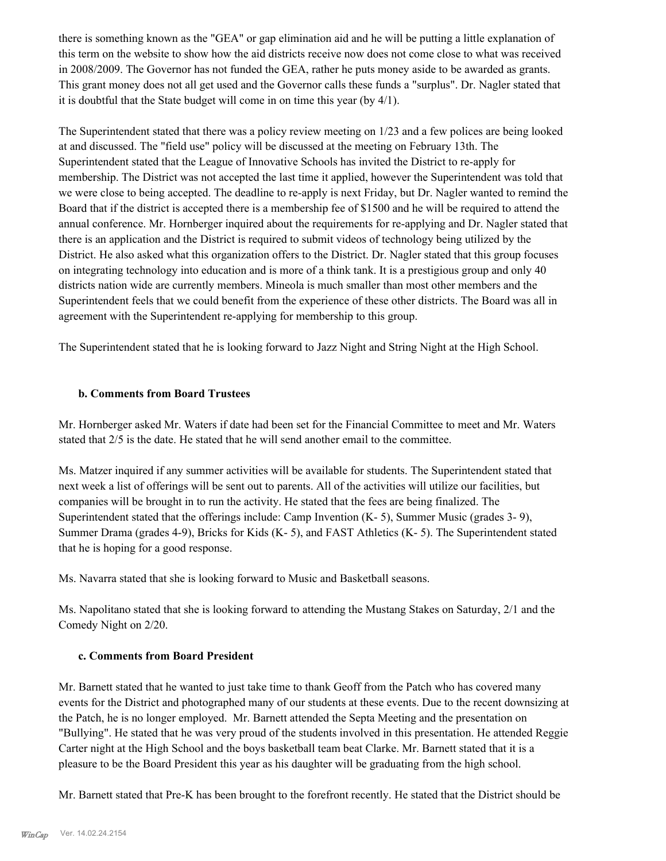there is something known as the "GEA" or gap elimination aid and he will be putting a little explanation of this term on the website to show how the aid districts receive now does not come close to what was received in 2008/2009. The Governor has not funded the GEA, rather he puts money aside to be awarded as grants. This grant money does not all get used and the Governor calls these funds a "surplus". Dr. Nagler stated that it is doubtful that the State budget will come in on time this year (by 4/1).

The Superintendent stated that there was a policy review meeting on 1/23 and a few polices are being looked at and discussed. The "field use" policy will be discussed at the meeting on February 13th. The Superintendent stated that the League of Innovative Schools has invited the District to re-apply for membership. The District was not accepted the last time it applied, however the Superintendent was told that we were close to being accepted. The deadline to re-apply is next Friday, but Dr. Nagler wanted to remind the Board that if the district is accepted there is a membership fee of \$1500 and he will be required to attend the annual conference. Mr. Hornberger inquired about the requirements for re-applying and Dr. Nagler stated that there is an application and the District is required to submit videos of technology being utilized by the District. He also asked what this organization offers to the District. Dr. Nagler stated that this group focuses on integrating technology into education and is more of a think tank. It is a prestigious group and only 40 districts nation wide are currently members. Mineola is much smaller than most other members and the Superintendent feels that we could benefit from the experience of these other districts. The Board was all in agreement with the Superintendent re-applying for membership to this group.

The Superintendent stated that he is looking forward to Jazz Night and String Night at the High School.

## **b. Comments from Board Trustees**

Mr. Hornberger asked Mr. Waters if date had been set for the Financial Committee to meet and Mr. Waters stated that 2/5 is the date. He stated that he will send another email to the committee.

Ms. Matzer inquired if any summer activities will be available for students. The Superintendent stated that next week a list of offerings will be sent out to parents. All of the activities will utilize our facilities, but companies will be brought in to run the activity. He stated that the fees are being finalized. The Superintendent stated that the offerings include: Camp Invention (K- 5), Summer Music (grades 3- 9), Summer Drama (grades 4-9), Bricks for Kids (K- 5), and FAST Athletics (K- 5). The Superintendent stated that he is hoping for a good response.

Ms. Navarra stated that she is looking forward to Music and Basketball seasons.

Ms. Napolitano stated that she is looking forward to attending the Mustang Stakes on Saturday, 2/1 and the Comedy Night on 2/20.

#### **c. Comments from Board President**

Mr. Barnett stated that he wanted to just take time to thank Geoff from the Patch who has covered many events for the District and photographed many of our students at these events. Due to the recent downsizing at the Patch, he is no longer employed. Mr. Barnett attended the Septa Meeting and the presentation on "Bullying". He stated that he was very proud of the students involved in this presentation. He attended Reggie Carter night at the High School and the boys basketball team beat Clarke. Mr. Barnett stated that it is a pleasure to be the Board President this year as his daughter will be graduating from the high school.

Mr. Barnett stated that Pre-K has been brought to the forefront recently. He stated that the District should be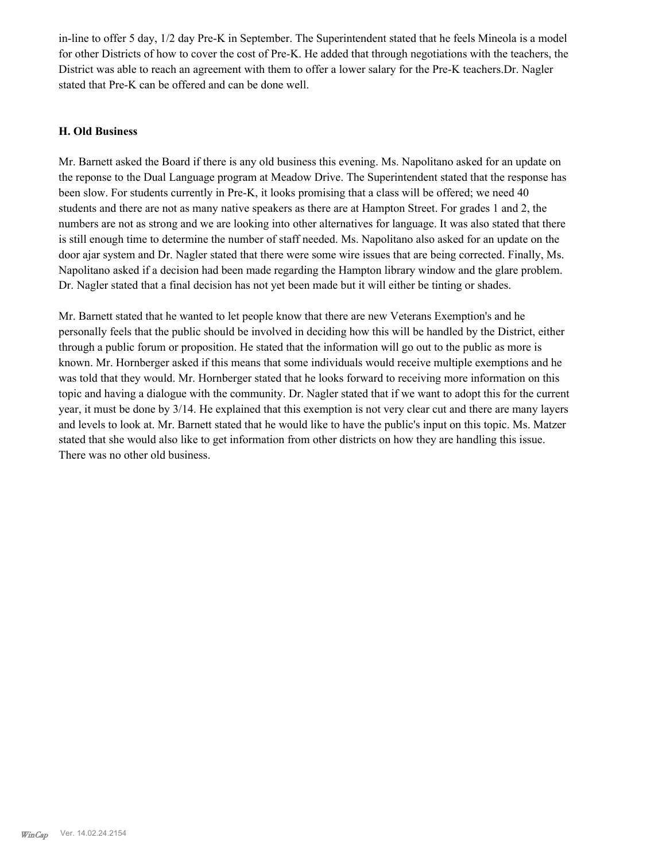in-line to offer 5 day, 1/2 day Pre-K in September. The Superintendent stated that he feels Mineola is a model for other Districts of how to cover the cost of Pre-K. He added that through negotiations with the teachers, the District was able to reach an agreement with them to offer a lower salary for the Pre-K teachers.Dr. Nagler stated that Pre-K can be offered and can be done well.

#### **H. Old Business**

Mr. Barnett asked the Board if there is any old business this evening. Ms. Napolitano asked for an update on the reponse to the Dual Language program at Meadow Drive. The Superintendent stated that the response has been slow. For students currently in Pre-K, it looks promising that a class will be offered; we need 40 students and there are not as many native speakers as there are at Hampton Street. For grades 1 and 2, the numbers are not as strong and we are looking into other alternatives for language. It was also stated that there is still enough time to determine the number of staff needed. Ms. Napolitano also asked for an update on the door ajar system and Dr. Nagler stated that there were some wire issues that are being corrected. Finally, Ms. Napolitano asked if a decision had been made regarding the Hampton library window and the glare problem. Dr. Nagler stated that a final decision has not yet been made but it will either be tinting or shades.

Mr. Barnett stated that he wanted to let people know that there are new Veterans Exemption's and he personally feels that the public should be involved in deciding how this will be handled by the District, either through a public forum or proposition. He stated that the information will go out to the public as more is known. Mr. Hornberger asked if this means that some individuals would receive multiple exemptions and he was told that they would. Mr. Hornberger stated that he looks forward to receiving more information on this topic and having a dialogue with the community. Dr. Nagler stated that if we want to adopt this for the current year, it must be done by 3/14. He explained that this exemption is not very clear cut and there are many layers and levels to look at. Mr. Barnett stated that he would like to have the public's input on this topic. Ms. Matzer stated that she would also like to get information from other districts on how they are handling this issue. There was no other old business.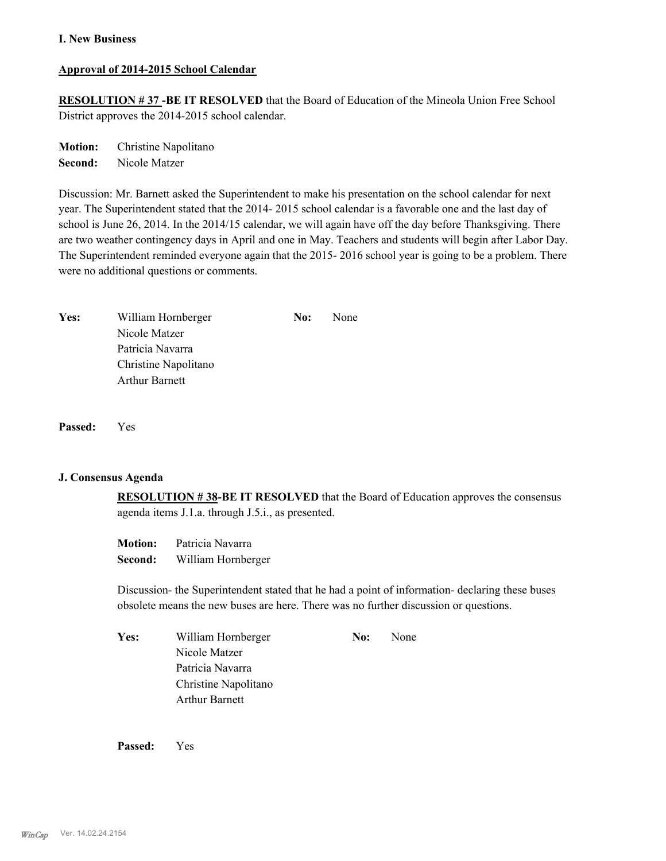### **Approval of 2014-2015 School Calendar**

**RESOLUTION # 37 -BE IT RESOLVED** that the Board of Education of the Mineola Union Free School District approves the 2014-2015 school calendar.

**Motion:** Christine Napolitano **Second:** Nicole Matzer

Discussion: Mr. Barnett asked the Superintendent to make his presentation on the school calendar for next year. The Superintendent stated that the 2014- 2015 school calendar is a favorable one and the last day of school is June 26, 2014. In the 2014/15 calendar, we will again have off the day before Thanksgiving. There are two weather contingency days in April and one in May. Teachers and students will begin after Labor Day. The Superintendent reminded everyone again that the 2015- 2016 school year is going to be a problem. There were no additional questions or comments.

| Yes: | William Hornberger    | No: | None |
|------|-----------------------|-----|------|
|      | Nicole Matzer         |     |      |
|      | Patricia Navarra      |     |      |
|      | Christine Napolitano  |     |      |
|      | <b>Arthur Barnett</b> |     |      |

**Passed:** Yes

#### **J. Consensus Agenda**

**RESOLUTION # 38-BE IT RESOLVED** that the Board of Education approves the consensus agenda items J.1.a. through J.5.i., as presented.

| <b>Motion:</b> | Patricia Navarra   |
|----------------|--------------------|
| Second:        | William Hornberger |

Discussion- the Superintendent stated that he had a point of information- declaring these buses obsolete means the new buses are here. There was no further discussion or questions.

| Yes: | William Hornberger    | No: | None |
|------|-----------------------|-----|------|
|      | Nicole Matzer         |     |      |
|      | Patricia Navarra      |     |      |
|      | Christine Napolitano  |     |      |
|      | <b>Arthur Barnett</b> |     |      |

**Passed:** Yes

*WinCap* Ver. 14.02.24.2154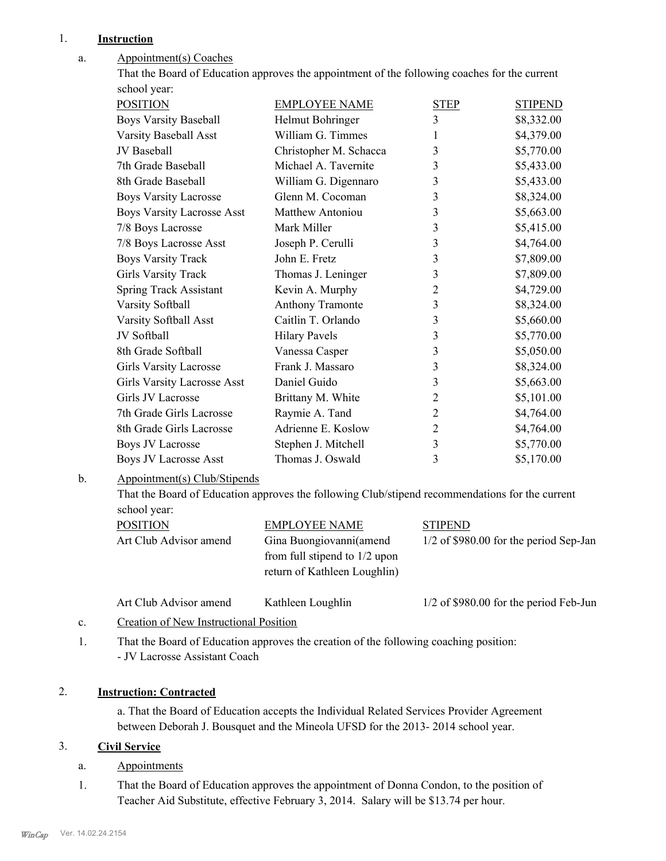## 1. **Instruction**

#### Appointment(s) Coaches a.

That the Board of Education approves the appointment of the following coaches for the current school year:

| <b>POSITION</b>                   | <b>EMPLOYEE NAME</b>   | <b>STEP</b>    | <b>STIPEND</b> |
|-----------------------------------|------------------------|----------------|----------------|
| <b>Boys Varsity Baseball</b>      | Helmut Bohringer       | 3              | \$8,332.00     |
| Varsity Baseball Asst             | William G. Timmes      | 1              | \$4,379.00     |
| JV Baseball                       | Christopher M. Schacca | 3              | \$5,770.00     |
| 7th Grade Baseball                | Michael A. Tavernite   | 3              | \$5,433.00     |
| 8th Grade Baseball                | William G. Digennaro   | 3              | \$5,433.00     |
| <b>Boys Varsity Lacrosse</b>      | Glenn M. Cocoman       | 3              | \$8,324.00     |
| <b>Boys Varsity Lacrosse Asst</b> | Matthew Antoniou       | 3              | \$5,663.00     |
| 7/8 Boys Lacrosse                 | Mark Miller            | 3              | \$5,415.00     |
| 7/8 Boys Lacrosse Asst            | Joseph P. Cerulli      | 3              | \$4,764.00     |
| <b>Boys Varsity Track</b>         | John E. Fretz          | 3              | \$7,809.00     |
| <b>Girls Varsity Track</b>        | Thomas J. Leninger     | 3              | \$7,809.00     |
| Spring Track Assistant            | Kevin A. Murphy        | $\overline{2}$ | \$4,729.00     |
| Varsity Softball                  | Anthony Tramonte       | 3              | \$8,324.00     |
| Varsity Softball Asst             | Caitlin T. Orlando     | 3              | \$5,660.00     |
| JV Softball                       | <b>Hilary Pavels</b>   | 3              | \$5,770.00     |
| 8th Grade Softball                | Vanessa Casper         | 3              | \$5,050.00     |
| <b>Girls Varsity Lacrosse</b>     | Frank J. Massaro       | 3              | \$8,324.00     |
| Girls Varsity Lacrosse Asst       | Daniel Guido           | 3              | \$5,663.00     |
| Girls JV Lacrosse                 | Brittany M. White      | $\overline{2}$ | \$5,101.00     |
| 7th Grade Girls Lacrosse          | Raymie A. Tand         | $\overline{2}$ | \$4,764.00     |
| 8th Grade Girls Lacrosse          | Adrienne E. Koslow     | $\overline{2}$ | \$4,764.00     |
| <b>Boys JV Lacrosse</b>           | Stephen J. Mitchell    | 3              | \$5,770.00     |
| <b>Boys JV Lacrosse Asst</b>      | Thomas J. Oswald       | 3              | \$5,170.00     |

#### Appointment(s) Club/Stipends b.

That the Board of Education approves the following Club/stipend recommendations for the current school year:

| <b>POSITION</b>        | EMPLOYEE NAME                   | <b>STIPEND</b>                           |
|------------------------|---------------------------------|------------------------------------------|
| Art Club Advisor amend | Gina Buongiovanni (amend        | $1/2$ of \$980.00 for the period Sep-Jan |
|                        | from full stipend to $1/2$ upon |                                          |
|                        | return of Kathleen Loughlin)    |                                          |
|                        |                                 |                                          |

Art Club Advisor amend Kathleen Loughlin 1/2 of \$980.00 for the period Feb-Jun

- c. Creation of New Instructional Position
- That the Board of Education approves the creation of the following coaching position: - JV Lacrosse Assistant Coach 1.

#### 2. **Instruction: Contracted**

a. That the Board of Education accepts the Individual Related Services Provider Agreement between Deborah J. Bousquet and the Mineola UFSD for the 2013- 2014 school year.

#### 3. **Civil Service**

- a. Appointments
- That the Board of Education approves the appointment of Donna Condon, to the position of Teacher Aid Substitute, effective February 3, 2014. Salary will be \$13.74 per hour. 1.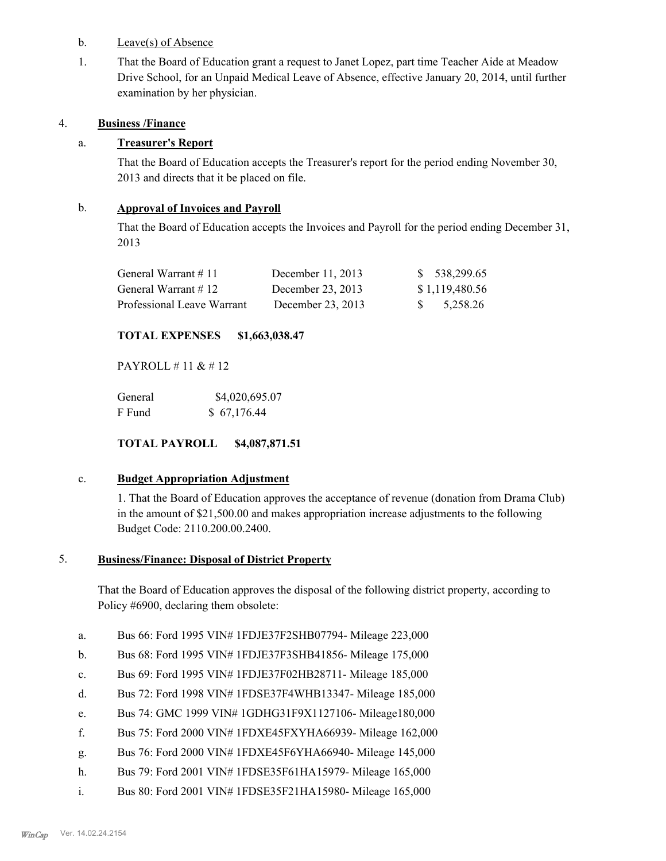- b. Leave(s) of Absence
- That the Board of Education grant a request to Janet Lopez, part time Teacher Aide at Meadow Drive School, for an Unpaid Medical Leave of Absence, effective January 20, 2014, until further examination by her physician. 1.

### 4. **Business /Finance**

# a. **Treasurer's Report**

That the Board of Education accepts the Treasurer's report for the period ending November 30, 2013 and directs that it be placed on file.

### b. **Approval of Invoices and Payroll**

That the Board of Education accepts the Invoices and Payroll for the period ending December 31, 2013

| General Warrant $\#$ 11    | December $11, 2013$ | \$ 538,299.65  |
|----------------------------|---------------------|----------------|
| General Warrant $\#$ 12    | December 23, 2013   | \$1,119,480.56 |
| Professional Leave Warrant | December 23, 2013   | \$5,258.26     |

# **TOTAL EXPENSES \$1,663,038.47**

PAYROLL # 11 & # 12

| General | \$4,020,695.07 |
|---------|----------------|
| F Fund  | \$67,176.44    |

**TOTAL PAYROLL \$4,087,871.51**

#### c. **Budget Appropriation Adjustment**

1. That the Board of Education approves the acceptance of revenue (donation from Drama Club) in the amount of \$21,500.00 and makes appropriation increase adjustments to the following Budget Code: 2110.200.00.2400.

#### **Business/Finance: Disposal of District Property** 5.

That the Board of Education approves the disposal of the following district property, according to Policy #6900, declaring them obsolete:

- a. Bus 66: Ford 1995 VIN# 1FDJE37F2SHB07794- Mileage 223,000
- b. Bus 68: Ford 1995 VIN# 1FDJE37F3SHB41856- Mileage 175,000
- c. Bus 69: Ford 1995 VIN# 1FDJE37F02HB28711- Mileage 185,000
- d. Bus 72: Ford 1998 VIN# 1FDSE37F4WHB13347- Mileage 185,000
- e. Bus 74: GMC 1999 VIN# 1GDHG31F9X1127106- Mileage180,000
- f. Bus 75: Ford 2000 VIN# 1FDXE45FXYHA66939- Mileage 162,000
- g. Bus 76: Ford 2000 VIN# 1FDXE45F6YHA66940- Mileage 145,000
- h. Bus 79: Ford 2001 VIN# 1FDSE35F61HA15979- Mileage 165,000
- i. Bus 80: Ford 2001 VIN# 1FDSE35F21HA15980- Mileage 165,000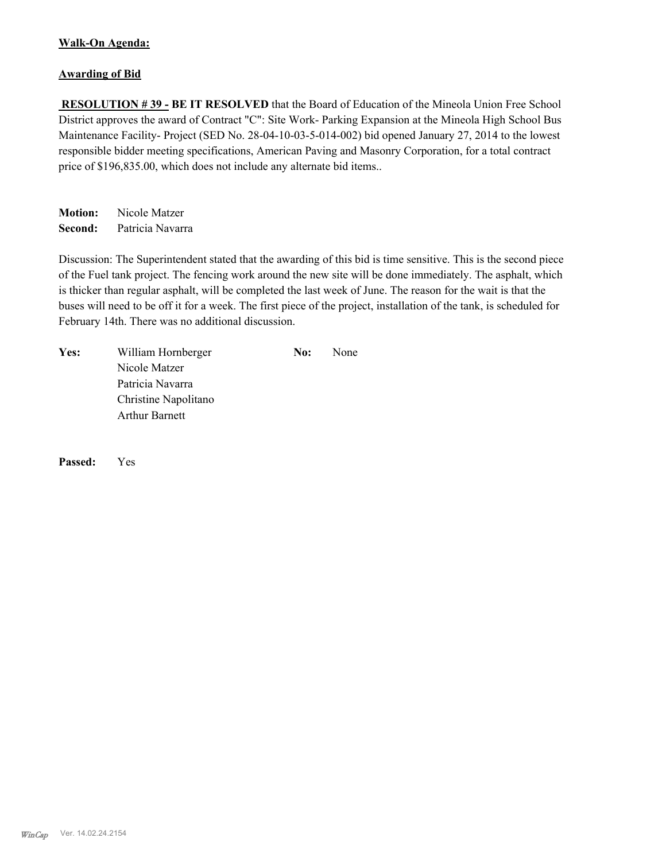#### **Walk-On Agenda:**

#### **Awarding of Bid**

 **RESOLUTION # 39 - BE IT RESOLVED** that the Board of Education of the Mineola Union Free School District approves the award of Contract "C": Site Work- Parking Expansion at the Mineola High School Bus Maintenance Facility- Project (SED No. 28-04-10-03-5-014-002) bid opened January 27, 2014 to the lowest responsible bidder meeting specifications, American Paving and Masonry Corporation, for a total contract price of \$196,835.00, which does not include any alternate bid items..

**Motion:** Nicole Matzer **Second:** Patricia Navarra

Discussion: The Superintendent stated that the awarding of this bid is time sensitive. This is the second piece of the Fuel tank project. The fencing work around the new site will be done immediately. The asphalt, which is thicker than regular asphalt, will be completed the last week of June. The reason for the wait is that the buses will need to be off it for a week. The first piece of the project, installation of the tank, is scheduled for February 14th. There was no additional discussion.

| Yes: | William Hornberger    | No: | <b>None</b> |
|------|-----------------------|-----|-------------|
|      | Nicole Matzer         |     |             |
|      | Patricia Navarra      |     |             |
|      | Christine Napolitano  |     |             |
|      | <b>Arthur Barnett</b> |     |             |

**Passed:** Yes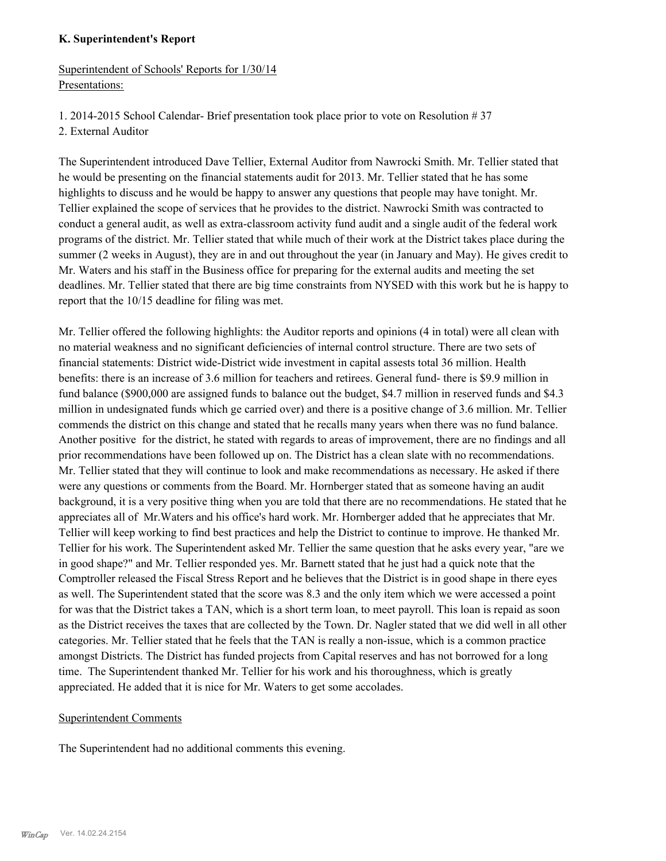#### **K. Superintendent's Report**

# Superintendent of Schools' Reports for 1/30/14 Presentations:

2. External Auditor

The Superintendent introduced Dave Tellier, External Auditor from Nawrocki Smith. Mr. Tellier stated that he would be presenting on the financial statements audit for 2013. Mr. Tellier stated that he has some highlights to discuss and he would be happy to answer any questions that people may have tonight. Mr. Tellier explained the scope of services that he provides to the district. Nawrocki Smith was contracted to conduct a general audit, as well as extra-classroom activity fund audit and a single audit of the federal work programs of the district. Mr. Tellier stated that while much of their work at the District takes place during the summer (2 weeks in August), they are in and out throughout the year (in January and May). He gives credit to Mr. Waters and his staff in the Business office for preparing for the external audits and meeting the set deadlines. Mr. Tellier stated that there are big time constraints from NYSED with this work but he is happy to report that the 10/15 deadline for filing was met.

Mr. Tellier offered the following highlights: the Auditor reports and opinions (4 in total) were all clean with no material weakness and no significant deficiencies of internal control structure. There are two sets of financial statements: District wide-District wide investment in capital assests total 36 million. Health benefits: there is an increase of 3.6 million for teachers and retirees. General fund- there is \$9.9 million in fund balance (\$900,000 are assigned funds to balance out the budget, \$4.7 million in reserved funds and \$4.3 million in undesignated funds which ge carried over) and there is a positive change of 3.6 million. Mr. Tellier commends the district on this change and stated that he recalls many years when there was no fund balance. Another positive for the district, he stated with regards to areas of improvement, there are no findings and all prior recommendations have been followed up on. The District has a clean slate with no recommendations. Mr. Tellier stated that they will continue to look and make recommendations as necessary. He asked if there were any questions or comments from the Board. Mr. Hornberger stated that as someone having an audit background, it is a very positive thing when you are told that there are no recommendations. He stated that he appreciates all of Mr.Waters and his office's hard work. Mr. Hornberger added that he appreciates that Mr. Tellier will keep working to find best practices and help the District to continue to improve. He thanked Mr. Tellier for his work. The Superintendent asked Mr. Tellier the same question that he asks every year, "are we in good shape?" and Mr. Tellier responded yes. Mr. Barnett stated that he just had a quick note that the Comptroller released the Fiscal Stress Report and he believes that the District is in good shape in there eyes as well. The Superintendent stated that the score was 8.3 and the only item which we were accessed a point for was that the District takes a TAN, which is a short term loan, to meet payroll. This loan is repaid as soon as the District receives the taxes that are collected by the Town. Dr. Nagler stated that we did well in all other categories. Mr. Tellier stated that he feels that the TAN is really a non-issue, which is a common practice amongst Districts. The District has funded projects from Capital reserves and has not borrowed for a long time. The Superintendent thanked Mr. Tellier for his work and his thoroughness, which is greatly appreciated. He added that it is nice for Mr. Waters to get some accolades.

#### Superintendent Comments

The Superintendent had no additional comments this evening.

<sup>1. 2014-2015</sup> School Calendar- Brief presentation took place prior to vote on Resolution # 37